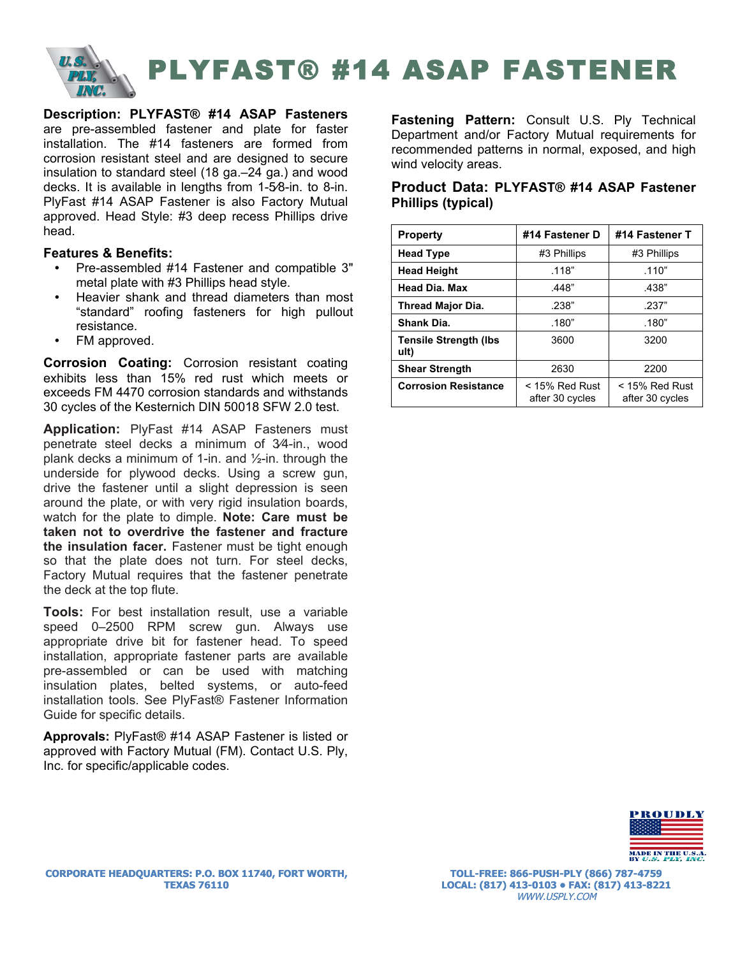

**Description: PLYFAST® #14 ASAP Fasteners**  are pre-assembled fastener and plate for faster installation. The #14 fasteners are formed from corrosion resistant steel and are designed to secure insulation to standard steel (18 ga.–24 ga.) and wood decks. It is available in lengths from 1-5⁄8-in. to 8-in. PlyFast #14 ASAP Fastener is also Factory Mutual approved. Head Style: #3 deep recess Phillips drive head.

### **Features & Benefits:**

- Pre-assembled #14 Fastener and compatible 3" metal plate with #3 Phillips head style.
- Heavier shank and thread diameters than most "standard" roofing fasteners for high pullout resistance.
- FM approved.

**Corrosion Coating:** Corrosion resistant coating exhibits less than 15% red rust which meets or exceeds FM 4470 corrosion standards and withstands 30 cycles of the Kesternich DIN 50018 SFW 2.0 test.

**Application:** PlyFast #14 ASAP Fasteners must penetrate steel decks a minimum of 3⁄4-in., wood plank decks a minimum of 1-in. and  $\frac{1}{2}$ -in. through the underside for plywood decks. Using a screw gun, drive the fastener until a slight depression is seen around the plate, or with very rigid insulation boards, watch for the plate to dimple. **Note: Care must be taken not to overdrive the fastener and fracture the insulation facer.** Fastener must be tight enough so that the plate does not turn. For steel decks, Factory Mutual requires that the fastener penetrate the deck at the top flute.

**Tools:** For best installation result, use a variable speed 0–2500 RPM screw gun. Always use appropriate drive bit for fastener head. To speed installation, appropriate fastener parts are available pre-assembled or can be used with matching insulation plates, belted systems, or auto-feed installation tools. See PlyFast® Fastener Information Guide for specific details.

**Approvals:** PlyFast® #14 ASAP Fastener is listed or approved with Factory Mutual (FM). Contact U.S. Ply, Inc. for specific/applicable codes.

**Fastening Pattern:** Consult U.S. Ply Technical Department and/or Factory Mutual requirements for recommended patterns in normal, exposed, and high wind velocity areas.

# **Product Data: PLYFAST® #14 ASAP Fastener Phillips (typical)**

| <b>Property</b>                       | #14 Fastener D                      | #14 Fastener T                      |
|---------------------------------------|-------------------------------------|-------------------------------------|
| <b>Head Type</b>                      | #3 Phillips                         | #3 Phillips                         |
| <b>Head Height</b>                    | .118"                               | .110"                               |
| <b>Head Dia. Max</b>                  | .448"                               | .438"                               |
| <b>Thread Major Dia.</b>              | .238"                               | .237"                               |
| Shank Dia.                            | .180"                               | .180"                               |
| <b>Tensile Strength (Ibs)</b><br>ult) | 3600                                | 3200                                |
| <b>Shear Strength</b>                 | 2630                                | 2200                                |
| <b>Corrosion Resistance</b>           | $<$ 15% Red Rust<br>after 30 cycles | $<$ 15% Red Rust<br>after 30 cycles |



**TOLL-FREE: 866-PUSH-PLY (866) 787-4759 LOCAL: (817) 413-0103 • FAX: (817) 413-8221** WWW.USPLY.COM